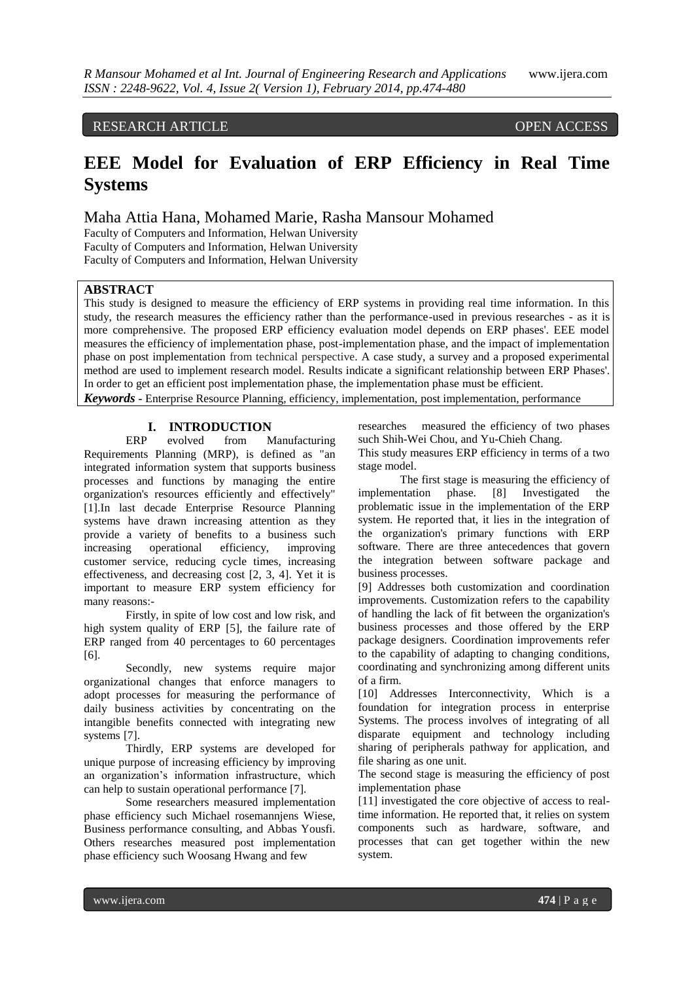# RESEARCH ARTICLE OPEN ACCESS

# **EEE Model for Evaluation of ERP Efficiency in Real Time Systems**

Maha Attia Hana, Mohamed Marie, Rasha Mansour Mohamed

Faculty of Computers and Information, Helwan University Faculty of Computers and Information, Helwan University Faculty of Computers and Information, Helwan University

# **ABSTRACT**

This study is designed to measure the efficiency of ERP systems in providing real time information. In this study, the research measures the efficiency rather than the performance-used in previous researches - as it is more comprehensive. The proposed ERP efficiency evaluation model depends on ERP phases'. EEE model measures the efficiency of implementation phase, post-implementation phase, and the impact of implementation phase on post implementation from technical perspective. A case study, a survey and a proposed experimental method are used to implement research model. Results indicate a significant relationship between ERP Phases'. In order to get an efficient post implementation phase, the implementation phase must be efficient. *Keywords* **-** Enterprise Resource Planning, efficiency, implementation, post implementation, performance

# **I. INTRODUCTION**<br>ERP evolved from M from Manufacturing

Requirements Planning (MRP), is defined as "an integrated information system that supports business processes and functions by managing the entire organization's resources efficiently and effectively" [1].In last decade Enterprise Resource Planning systems have drawn increasing attention as they provide a variety of benefits to a business such increasing operational efficiency, improving customer service, reducing cycle times, increasing effectiveness, and decreasing cost [2, 3, 4]. Yet it is important to measure ERP system efficiency for many reasons:-

Firstly, in spite of low cost and low risk, and high system quality of ERP [5], the failure rate of ERP ranged from 40 percentages to 60 percentages [6].

Secondly, new systems require major organizational changes that enforce managers to adopt processes for measuring the performance of daily business activities by concentrating on the intangible benefits connected with integrating new systems [7].

Thirdly, ERP systems are developed for unique purpose of increasing efficiency by improving an organization's information infrastructure, which can help to sustain operational performance [7].

Some researchers measured implementation phase efficiency such Michael rosemannjens Wiese, Business performance consulting, and Abbas Yousfi. Others researches measured post implementation phase efficiency such Woosang Hwang and few

researches measured the efficiency of two phases such Shih-Wei Chou, and Yu-Chieh Chang.

This study measures ERP efficiency in terms of a two stage model.

The first stage is measuring the efficiency of implementation phase. [8] Investigated the problematic issue in the implementation of the ERP system. He reported that, it lies in the integration of the organization's primary functions with ERP software. There are three antecedences that govern the integration between software package and business processes.

[9] Addresses both customization and coordination improvements. Customization refers to the capability of handling the lack of fit between the organization's business processes and those offered by the ERP package designers. Coordination improvements refer to the capability of adapting to changing conditions, coordinating and synchronizing among different units of a firm.

[10] Addresses Interconnectivity, Which is a foundation for integration process in enterprise Systems. The process involves of integrating of all disparate equipment and technology including sharing of peripherals pathway for application, and file sharing as one unit.

The second stage is measuring the efficiency of post implementation phase

[11] investigated the core objective of access to realtime information. He reported that, it relies on system components such as hardware, software, and processes that can get together within the new system.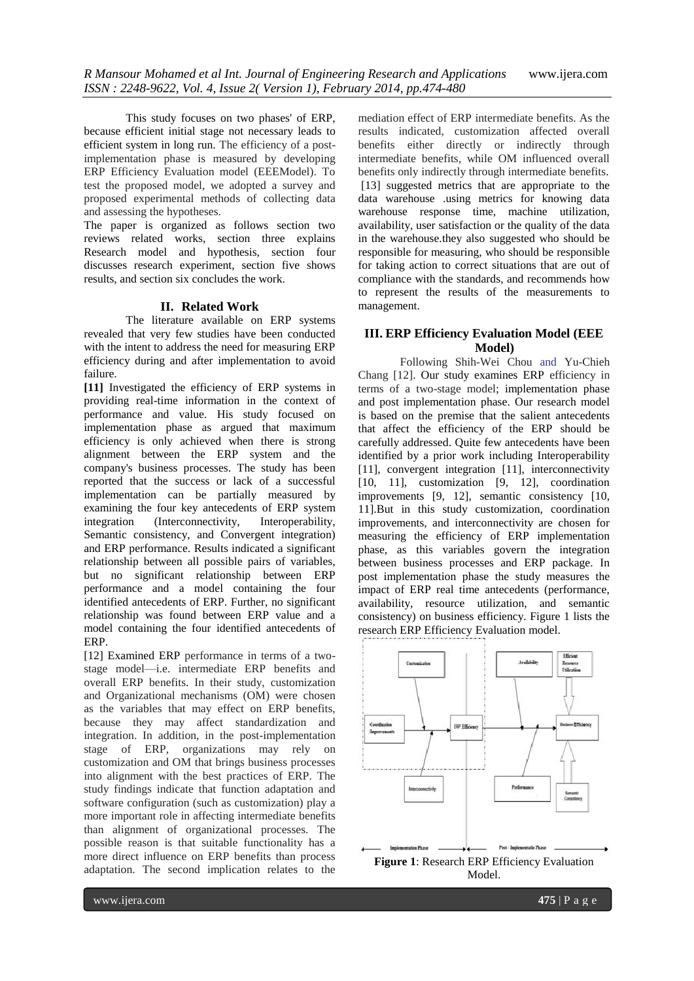This study focuses on two phases' of ERP, because efficient initial stage not necessary leads to efficient system in long run. The efficiency of a postimplementation phase is measured by developing ERP Efficiency Evaluation model (EEEModel). To test the proposed model, we adopted a survey and proposed experimental methods of collecting data and assessing the hypotheses.

The paper is organized as follows section two reviews related works, section three explains Research model and hypothesis, section four discusses research experiment, section five shows results, and section six concludes the work.

### **II. Related Work**

The literature available on ERP systems revealed that very few studies have been conducted with the intent to address the need for measuring ERP efficiency during and after implementation to avoid failure.

**[11]** Investigated the efficiency of ERP systems in providing real-time information in the context of performance and value. His study focused on implementation phase as argued that maximum efficiency is only achieved when there is strong alignment between the ERP system and the company's business processes. The study has been reported that the success or lack of a successful implementation can be partially measured by examining the four key antecedents of ERP system<br>integration (Interconnectivity, Interoperability, integration (Interconnectivity, Semantic consistency, and Convergent integration) and ERP performance. Results indicated a significant relationship between all possible pairs of variables, but no significant relationship between ERP performance and a model containing the four identified antecedents of ERP. Further, no significant relationship was found between ERP value and a model containing the four identified antecedents of ERP.

[12] Examined ERP performance in terms of a twostage model—i.e. intermediate ERP benefits and overall ERP benefits. In their study, customization and Organizational mechanisms (OM) were chosen as the variables that may effect on ERP benefits, because they may affect standardization and integration. In addition, in the post-implementation stage of ERP, organizations may rely on customization and OM that brings business processes into alignment with the best practices of ERP. The study findings indicate that function adaptation and software configuration (such as customization) play a more important role in affecting intermediate benefits than alignment of organizational processes. The possible reason is that suitable functionality has a more direct influence on ERP benefits than process adaptation. The second implication relates to the

mediation effect of ERP intermediate benefits. As the results indicated, customization affected overall benefits either directly or indirectly through intermediate benefits, while OM influenced overall benefits only indirectly through intermediate benefits. [13] suggested metrics that are appropriate to the data warehouse .using metrics for knowing data warehouse response time, machine utilization, availability, user satisfaction or the quality of the data in the warehouse.they also suggested who should be responsible for measuring, who should be responsible for taking action to correct situations that are out of compliance with the standards, and recommends how to represent the results of the measurements to management.

# **III. ERP Efficiency Evaluation Model (EEE Model)**

Following Shih-Wei Chou and Yu-Chieh Chang [12]. Our study examines ERP efficiency in terms of a two-stage model; implementation phase and post implementation phase. Our research model is based on the premise that the salient antecedents that affect the efficiency of the ERP should be carefully addressed. Quite few antecedents have been identified by a prior work including Interoperability [11], convergent integration [11], interconnectivity [10, 11], customization [9, 12], coordination improvements [9, 12], semantic consistency [10, 11].But in this study customization, coordination improvements, and interconnectivity are chosen for measuring the efficiency of ERP implementation phase, as this variables govern the integration between business processes and ERP package. In post implementation phase the study measures the impact of ERP real time antecedents (performance, availability, resource utilization, and semantic consistency) on business efficiency. Figure 1 lists the research ERP Efficiency Evaluation model.

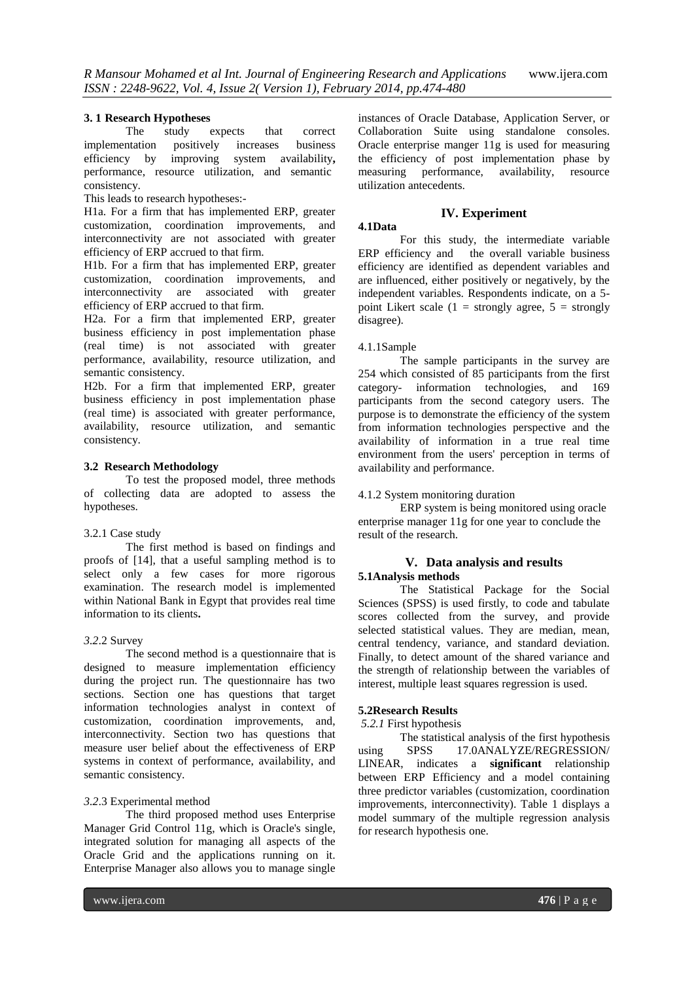#### **3. 1 Research Hypotheses**

The study expects that correct implementation positively increases business efficiency by improving system availability**,**  performance, resource utilization, and semanticconsistency.

This leads to research hypotheses:-

H1a. For a firm that has implemented ERP, greater customization, coordination improvements, and interconnectivity are not associated with greater efficiency of ERP accrued to that firm.

H1b. For a firm that has implemented ERP, greater customization, coordination improvements, and interconnectivity are associated with greater efficiency of ERP accrued to that firm.

H2a. For a firm that implemented ERP, greater business efficiency in post implementation phase (real time) is not associated with greater performance, availability, resource utilization, and semantic consistency.

H2b. For a firm that implemented ERP, greater business efficiency in post implementation phase (real time) is associated with greater performance, availability, resource utilization, and semantic consistency.

### **3.2****Research Methodology**

To test the proposed model, three methods of collecting data are adopted to assess the hypotheses.

## 3.2.1 Case study

The first method is based on findings and proofs of [14], that a useful sampling method is to select only a few cases for more rigorous examination. The research model is implemented within National Bank in Egypt that provides real time information to its clients**.**

#### *3.2*.2 Survey

The second method is a questionnaire that is designed to measure implementation efficiency during the project run. The questionnaire has two sections. Section one has questions that target information technologies analyst in context of customization, coordination improvements, and, interconnectivity. Section two has questions that measure user belief about the effectiveness of ERP systems in context of performance, availability, and semantic consistency.

# *3.2*.3 Experimental method

The third proposed method uses Enterprise Manager Grid Control 11g, which is Oracle's single, integrated solution for managing all aspects of the Oracle Grid and the applications running on it. Enterprise Manager also allows you to manage single

instances of Oracle Database, Application Server, or Collaboration Suite using standalone consoles. Oracle enterprise manger 11g is used for measuring the efficiency of post implementation phase by<br>measuring performance, availability, resource measuring performance, availability, utilization antecedents.

#### **IV. Experiment**

# **4.1Data**

For this study, the intermediate variable ERP efficiency and the overall variable business efficiency are identified as dependent variables and are influenced, either positively or negatively, by the independent variables. Respondents indicate, on a 5 point Likert scale (1 = strongly agree,  $5 =$  strongly disagree).

#### 4.1.1Sample

The sample participants in the survey are 254 which consisted of 85 participants from the first category- information technologies, and 169 participants from the second category users. The purpose is to demonstrate the efficiency of the system from information technologies perspective and the availability of information in a true real time environment from the users' perception in terms of availability and performance.

# 4.1.2 System monitoring duration

ERP system is being monitored using oracle enterprise manager 11g for one year to conclude the result of the research.

#### **V. Data analysis and results 5.1Analysis methods**

The Statistical Package for the Social Sciences (SPSS) is used firstly, to code and tabulate scores collected from the survey, and provide selected statistical values. They are median, mean, central tendency, variance, and standard deviation. Finally, to detect amount of the shared variance and the strength of relationship between the variables of interest, multiple least squares regression is used.

#### **5.2Research Results**

#### *5.2.1* First hypothesis

The statistical analysis of the first hypothesis using SPSS 17.0ANALYZE/REGRESSION/ LINEAR, indicates a **significant** relationship between ERP Efficiency and a model containing three predictor variables (customization, coordination improvements, interconnectivity). Table 1 displays a model summary of the multiple regression analysis for research hypothesis one.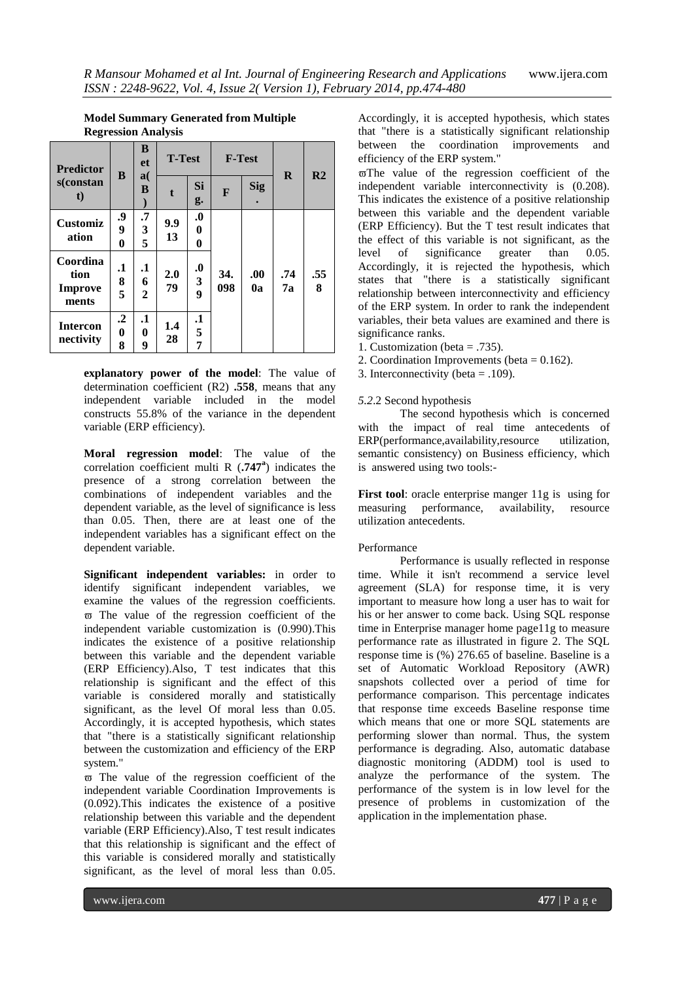| <b>Predictor</b><br>s(constan<br>$\mathbf t$ | B                              | B<br>et                            | <b>T-Test</b> |                                           | <b>F-Test</b> |            |           |                |
|----------------------------------------------|--------------------------------|------------------------------------|---------------|-------------------------------------------|---------------|------------|-----------|----------------|
|                                              |                                | a(<br>B                            | t             | Si<br>g.                                  | F             | <b>Sig</b> | $\bf{R}$  | R <sub>2</sub> |
| <b>Customiz</b><br>ation                     | .9<br>9<br>0                   | .7<br>3<br>5                       | 9.9<br>13     | $\boldsymbol{0}$<br>0<br>0                |               |            |           |                |
| Coordina<br>tion<br><b>Improve</b><br>ments  | $\mathbf{.1}$<br>8<br>5        | $\mathbf{.1}$<br>6<br>$\mathbf{2}$ | 2.0<br>79     | $\boldsymbol{0}$<br>3<br>$\boldsymbol{9}$ | 34.<br>098    | .00.<br>0a | .74<br>7а | .55<br>8       |
| <b>Intercon</b><br>nectivity                 | $\cdot$ <sup>2</sup><br>0<br>8 | $\cdot$<br>0<br>9                  | 1.4<br>28     | $\cdot$<br>5<br>7                         |               |            |           |                |

## **Model Summary Generated from Multiple Regression Analysis**

**explanatory power of the model**: The value of determination coefficient (R2) **.558**, means that any independent variable included in the model constructs 55.8% of the variance in the dependent variable (ERP efficiency).

**Moral regression model**: The value of the correlation coefficient multi R (**.747<sup>a</sup>** ) indicates the presence of a strong correlation between the combinations of independent variables and-thedependent variable, as the level of significance is less than 0.05. Then, there are at least one of the independent variables has a significant effect on the dependent variable.

**Significant independent variables:** in order to identify significant independent variables, we examine the values of the regression coefficients.  $\overline{\omega}$  The value of the regression coefficient of the independent variable customization is (0.990).This indicates the existence of a positive relationship between this variable and the dependent variable (ERP Efficiency).Also, T test indicates that this relationship is significant and the effect of this variable is considered morally and statistically significant, as the level Of moral less than 0.05. Accordingly, it is accepted hypothesis, which states that "there is a statistically significant relationship between the customization and efficiency of the ERP system."

 $\overline{\omega}$  The value of the regression coefficient of the independent variable Coordination Improvements is (0.092).This indicates the existence of a positive relationship between this variable and the dependent variable (ERP Efficiency).Also, T test result indicates that this relationship is significant and the effect of this variable is considered morally and statistically significant, as the level of moral less than 0.05.

Accordingly, it is accepted hypothesis, which states that "there is a statistically significant relationship between the coordination improvements and efficiency of the ERP system."

 $\varpi$ The value of the regression coefficient of the independent variable interconnectivity is (0.208). This indicates the existence of a positive relationship between this variable and the dependent variable (ERP Efficiency). But the T test result indicates that the effect of this variable is not significant, as the level of significance greater than 0.05. Accordingly, it is rejected the hypothesis, which states that "there is a statistically significant relationship between interconnectivity and efficiency of the ERP system. In order to rank the independent variables, their beta values are examined and there is significance ranks.

- 1. Customization (beta = .735).
- 2. Coordination Improvements (beta = 0.162).
- 3. Interconnectivity (beta = .109).

### *5.2*.2 Second hypothesis

The second hypothesis which is concerned with the impact of real time antecedents of ERP(performance,availability,resource utilization, semantic consistency) on Business efficiency, which is answered using two tools:-

**First tool:** oracle enterprise manger 11g is using for measuring performance, availability, resource measuring performance. utilization antecedents.

## Performance

Performance is usually reflected in response time. While it isn't recommend a service level agreement (SLA) for response time, it is very important to measure how long a user has to wait for his or her answer to come back. Using SQL response time in Enterprise manager home page11g to measure performance rate as illustrated in figure 2. The SQL response time is (%) 276.65 of baseline. Baseline is a set of Automatic Workload Repository (AWR) snapshots collected over a period of time for performance comparison. This percentage indicates that response time exceeds Baseline response time which means that one or more SQL statements are performing slower than normal. Thus, the system performance is degrading. Also, automatic database diagnostic monitoring (ADDM) tool is used to analyze the performance of the system. The performance of the system is in low level for the presence of problems in customization of the application in the implementation phase.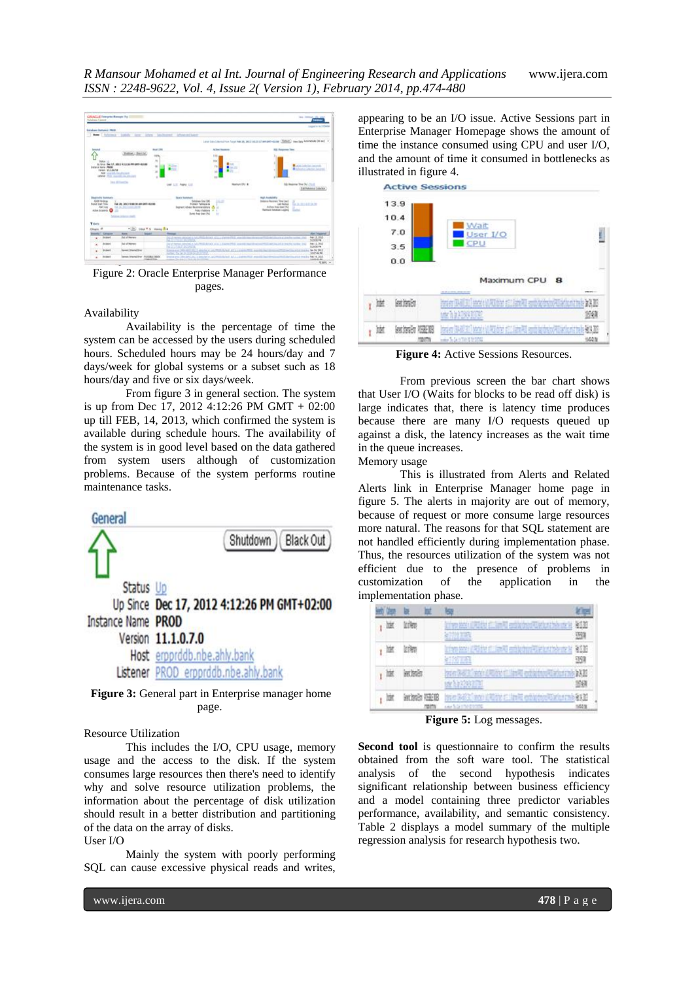

Figure 2: Oracle Enterprise Manager Performance pages.

#### Availability

Availability is the percentage of time the system can be accessed by the users during scheduled hours. Scheduled hours may be 24 hours/day and 7 days/week for global systems or a subset such as 18 hours/day and five or six days/week.

From figure 3 in general section. The system is up from Dec 17, 2012 4:12:26 PM GMT + 02:00 up till FEB, 14, 2013, which confirmed the system is available during schedule hours. The availability of the system is in good level based on the data gathered from system users although of customization problems. Because of the system performs routine maintenance tasks.



**Figure 3:** General part in Enterprise manager home page.

## Resource Utilization

This includes the I/O, CPU usage, memory usage and the access to the disk. If the system consumes large resources then there's need to identify why and solve resource utilization problems, the information about the percentage of disk utilization should result in a better distribution and partitioning of the data on the array of disks. User I/O

Mainly the system with poorly performing SQL can cause excessive physical reads and writes,

appearing to be an I/O issue. Active Sessions part in Enterprise Manager Homepage shows the amount of time the instance consumed using CPU and user I/O, and the amount of time it consumed in bottlenecks as illustrated in figure 4.



**Figure 4:** Active Sessions Resources.

From previous screen the bar chart shows that User I/O (Waits for blocks to be read off disk) is large indicates that, there is latency time produces because there are many I/O requests queued up against a disk, the latency increases as the wait time in the queue increases. Memory usage

This is illustrated from Alerts and Related Alerts link in Enterprise Manager home page in figure 5. The alerts in majority are out of memory, because of request or more consume large resources more natural. The reasons for that SQL statement are not handled efficiently during implementation phase. Thus, the resources utilization of the system was not efficient due to the presence of problems in customization of the application in the implementation phase.



**Figure 5:** Log messages.

**Second tool** is questionnaire to confirm the results obtained from the soft ware tool. The statistical analysis of the second hypothesis indicates significant relationship between business efficiency and a model containing three predictor variables performance, availability, and semantic consistency. Table 2 displays a model summary of the multiple regression analysis for research hypothesis two.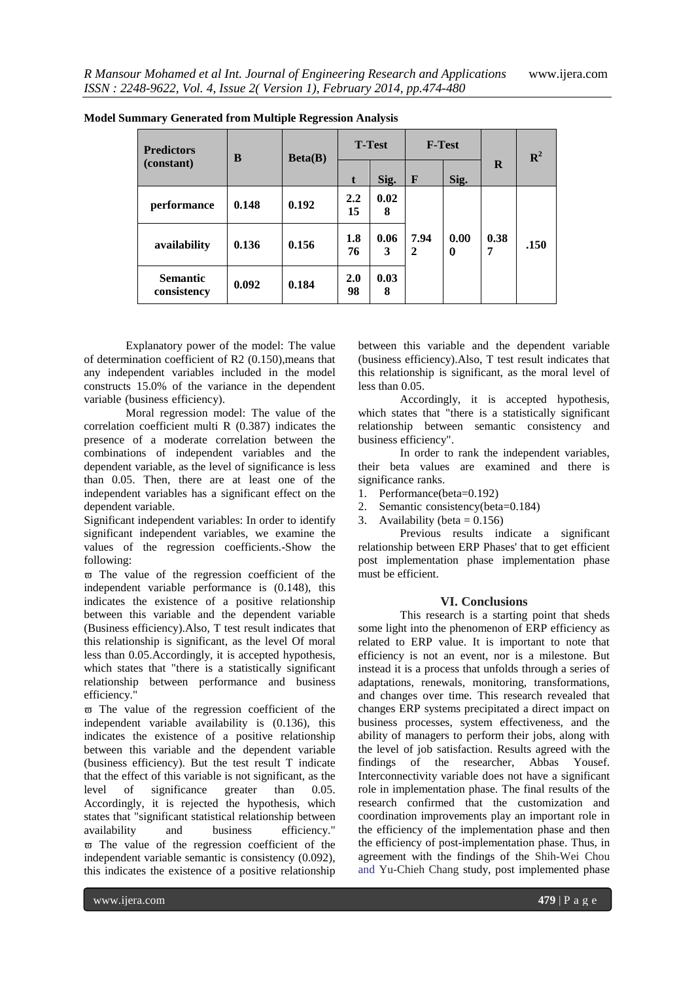| <b>Model Summary Generated from Multiple Regression Analysis</b> |  |  |
|------------------------------------------------------------------|--|--|

| <b>Predictors</b><br>(constant) | B     | Beta(B) | <b>T-Test</b> |           | <b>F-Test</b>        |           |           | $\mathbb{R}^2$ |
|---------------------------------|-------|---------|---------------|-----------|----------------------|-----------|-----------|----------------|
|                                 |       |         | t             | Sig.      | F                    | Sig.      | $\bf{R}$  |                |
| performance                     | 0.148 | 0.192   | 2.2<br>15     | 0.02<br>8 |                      |           |           |                |
| availability                    | 0.136 | 0.156   | 1.8<br>76     | 0.06<br>3 | 7.94<br>$\mathbf{2}$ | 0.00<br>0 | 0.38<br>7 | .150           |
| <b>Semantic</b><br>consistency  | 0.092 | 0.184   | 2.0<br>98     | 0.03<br>8 |                      |           |           |                |

Explanatory power of the model: The value of determination coefficient of R2 (0.150),means that any independent variables included in the model constructs 15.0% of the variance in the dependent variable (business efficiency).

Moral regression model: The value of the correlation coefficient multi R (0.387) indicates the presence of a moderate correlation between the combinations of independent variables and the dependent variable, as the level of significance is less than 0.05. Then, there are at least one of the independent variables has a significant effect on the dependent variable.

Significant independent variables: In order to identify significant independent variables, we examine the values of the regression coefficients.-Show the following:

 $\overline{\omega}$  The value of the regression coefficient of the independent variable performance is (0.148), this indicates the existence of a positive relationship between this variable and the dependent variable (Business efficiency).Also, T test result indicates that this relationship is significant, as the level Of moral less than 0.05.Accordingly, it is accepted hypothesis, which states that "there is a statistically significant relationship between performance and business efficiency."

 $\overline{\omega}$  The value of the regression coefficient of the independent variable availability is (0.136), this indicates the existence of a positive relationship between this variable and the dependent variable (business efficiency). But the test result T indicate that the effect of this variable is not significant, as the level of significance greater than 0.05. Accordingly, it is rejected the hypothesis, which states that "significant statistical relationship between availability and business efficiency."  $\overline{\omega}$  The value of the regression coefficient of the independent variable semantic is consistency (0.092), this indicates the existence of a positive relationship

between this variable and the dependent variable (business efficiency).Also, T test result indicates that this relationship is significant, as the moral level of less than 0.05.

Accordingly, it is accepted hypothesis, which states that "there is a statistically significant relationship between semantic consistency and business efficiency".

In order to rank the independent variables, their beta values are examined and there is significance ranks.

- 1. Performance(beta=0.192)
- 2. Semantic consistency(beta=0.184)
- 3. Availability (beta  $= 0.156$ )

Previous results indicate a significant relationship between ERP Phases' that to get efficient post implementation phase implementation phase must be efficient.

## **VI. Conclusions**

This research is a starting point that sheds some light into the phenomenon of ERP efficiency as related to ERP value. It is important to note that efficiency is not an event, nor is a milestone. But instead it is a process that unfolds through a series of adaptations, renewals, monitoring, transformations, and changes over time. This research revealed that changes ERP systems precipitated a direct impact on business processes, system effectiveness, and the ability of managers to perform their jobs, along with the level of job satisfaction. Results agreed with the findings of the researcher, Abbas Yousef. Interconnectivity variable does not have a significant role in implementation phase. The final results of the research confirmed that the customization and coordination improvements play an important role in the efficiency of the implementation phase and then the efficiency of post-implementation phase. Thus, in agreement with the findings of the Shih-Wei Chou and Yu-Chieh Chang study, post implemented phase